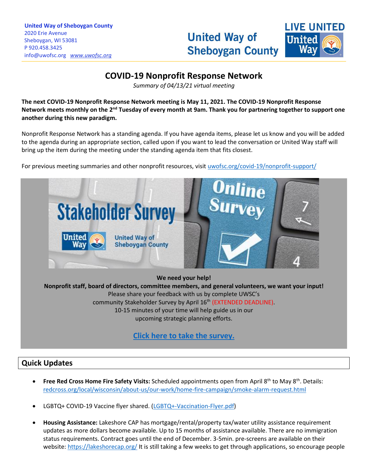# **United Way of Sheboygan County**



## **COVID-19 Nonprofit Response Network**

\_\_\_\_\_\_\_\_\_\_\_\_\_\_\_\_\_\_\_\_\_\_\_\_\_\_\_\_\_\_\_\_\_\_\_\_\_\_\_\_\_\_\_\_\_\_\_\_\_\_\_\_\_\_\_\_\_\_\_\_\_\_\_\_\_\_\_\_\_\_\_\_\_\_\_\_\_\_\_\_\_\_\_\_\_\_\_\_\_\_\_\_\_\_\_\_\_\_\_\_\_\_\_\_\_\_\_\_\_\_\_\_\_\_\_\_\_\_\_\_\_\_\_\_\_\_\_\_\_\_\_\_\_\_\_\_\_\_\_\_\_\_\_\_\_\_\_\_\_\_\_\_\_\_\_\_\_\_\_\_\_\_\_\_\_\_\_\_\_\_\_\_\_\_\_\_\_\_\_\_\_\_\_\_\_\_\_\_\_\_\_\_\_\_\_\_\_\_\_\_\_\_\_\_\_\_\_\_\_\_\_\_\_\_\_\_\_\_\_\_\_\_\_\_\_\_\_\_\_\_\_\_\_\_\_\_\_\_\_\_\_\_\_\_\_\_\_\_\_\_\_\_\_\_\_\_\_\_\_\_\_\_\_\_\_\_\_\_\_\_\_

*Summary of 04/13/21 virtual meeting*

**The next COVID-19 Nonprofit Response Network meeting is May 11, 2021. The COVID-19 Nonprofit Response**  Network meets monthly on the 2<sup>nd</sup> Tuesday of every month at 9am. Thank you for partnering together to support one **another during this new paradigm.**

Nonprofit Response Network has a standing agenda. If you have agenda items, please let us know and you will be added to the agenda during an appropriate section, called upon if you want to lead the conversation or United Way staff will bring up the item during the meeting under the standing agenda item that fits closest.

For previous meeting summaries and other nonprofit resources, visit [uwofsc.org/covid-19/nonprofit-support/](http://www.uwofsc.org/covid-19/nonprofit-support/)



**We need your help! Nonprofit staff, board of directors, committee members, and general volunteers, we want your input!** Please share your feedback with us by complete UWSC's community Stakeholder Survey by April 16<sup>th</sup> (EXTENDED DEADLINE). 10-15 minutes of your time will help guide us in our upcoming strategic planning efforts.

**[Click here to take the survey.](https://www.surveymonkey.com/r/2021UWSCSurvey)**

## **Quick Updates**

- **Free Red Cross Home Fire Safety Visits:** Scheduled appointments open from April 8th to May 8th. Details: [redcross.org/local/wisconsin/about-us/our-work/home-fire-campaign/smoke-alarm-request.html](https://www.redcross.org/local/wisconsin/about-us/our-work/home-fire-campaign/smoke-alarm-request.html)
- LGBTQ+ COVID-19 Vaccine flyer shared. [\(LGBTQ+-Vaccination-Flyer.pdf\)](https://uwofsc.org/assets/Uploads/LGBTQ+-Vaccination-Flyer.pdf)
- **Housing Assistance:** Lakeshore CAP has mortgage/rental/property tax/water utility assistance requirement updates as more dollars become available. Up to 15 months of assistance available. There are no immigration status requirements. Contract goes until the end of December. 3-5min. pre-screens are available on their website[: https://lakeshorecap.org/](https://lakeshorecap.org/) It is still taking a few weeks to get through applications, so encourage people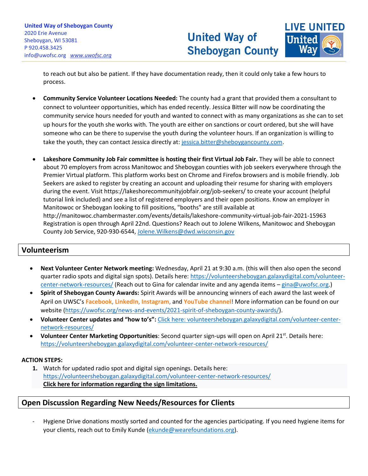## **United Way of Sheboygan County**



to reach out but also be patient. If they have documentation ready, then it could only take a few hours to process.

\_\_\_\_\_\_\_\_\_\_\_\_\_\_\_\_\_\_\_\_\_\_\_\_\_\_\_\_\_\_\_\_\_\_\_\_\_\_\_\_\_\_\_\_\_\_\_\_\_\_\_\_\_\_\_\_\_\_\_\_\_\_\_\_\_\_\_\_\_\_\_\_\_\_\_\_\_\_\_\_\_\_\_\_\_\_\_\_\_\_\_\_\_\_\_\_\_\_\_\_\_\_\_\_\_\_\_\_\_\_\_\_\_\_\_\_\_\_\_\_\_\_\_\_\_\_\_\_\_\_\_\_\_\_\_\_\_\_\_\_\_\_\_\_\_\_\_\_\_\_\_\_\_\_\_\_\_\_\_\_\_\_\_\_\_\_\_\_\_\_\_\_\_\_\_\_\_\_\_\_\_\_\_\_\_\_\_\_\_\_\_\_\_\_\_\_\_\_\_\_\_\_\_\_\_\_\_\_\_\_\_\_\_\_\_\_\_\_\_\_\_\_\_\_\_\_\_\_\_\_\_\_\_\_\_\_\_\_\_\_\_\_\_\_\_\_\_\_\_\_\_\_\_\_\_\_\_\_\_\_\_\_\_\_\_\_\_\_\_\_\_

- **Community Service Volunteer Locations Needed:** The county had a grant that provided them a consultant to connect to volunteer opportunities, which has ended recently. Jessica Bitter will now be coordinating the community service hours needed for youth and wanted to connect with as many organizations as she can to set up hours for the youth she works with. The youth are either on sanctions or court ordered, but she will have someone who can be there to supervise the youth during the volunteer hours. If an organization is willing to take the youth, they can contact Jessica directly at: [jessica.bitter@sheboygancounty.com.](mailto:jessica.bitter@sheboygancounty.com)
- **Lakeshore Community Job Fair committee is hosting their first Virtual Job Fair.** They will be able to connect about 70 employers from across Manitowoc and Sheboygan counties with job seekers everywhere through the Premier Virtual platform. This platform works best on Chrome and Firefox browsers and is mobile friendly. Job Seekers are asked to register by creating an account and uploading their resume for sharing with employers during the event. Visit<https://lakeshorecommunityjobfair.org/job-seekers/> to create your account (helpful tutorial link included) and see a list of registered employers and their open positions. Know an employer in Manitowoc or Sheboygan looking to fill positions, "booths" are still available at <http://manitowoc.chambermaster.com/events/details/lakeshore-community-virtual-job-fair-2021-15963> Registration is open through April 22nd. Questions? Reach out to Jolene Wilkens, Manitowoc and Sheboygan County Job Service, 920-930-6544, [Jolene.Wilkens@dwd.wisconsin.gov](mailto:Jolene.Wilkens@dwd.wisconsin.gov)

### **Volunteerism**

- **Next Volunteer Center Network meeting:** Wednesday, April 21 at 9:30 a.m. (this will then also open the second quarter radio spots and digital sign spots). Details here[: https://volunteersheboygan.galaxydigital.com/volunteer](https://volunteersheboygan.galaxydigital.com/volunteer-center-network-resources/)[center-network-resources/](https://volunteersheboygan.galaxydigital.com/volunteer-center-network-resources/) (Reach out to Gina for calendar invite and any agenda items - [gina@uwofsc.org.](mailto:gina@uwofsc.org))
- **Spirit of Sheboygan County Awards:** Spirit Awards will be announcing winners of each award the last week of April on UWSC's **[Facebook](https://www.facebook.com/unitedwaysheboygancounty)**, **[LinkedIn](https://www.linkedin.com/company/uwsc)**, **[Instagram](http://www.instagram.com/unitedwaysheboygancounty)**, and **[YouTube channel](https://www.youtube.com/channel/UCMSUzHJ5BWpyDyOsj4Z8uow)**! More information can be found on our website [\(https://uwofsc.org/news-and-events/2021-spirit-of-sheboygan-county-awards/\)](https://uwofsc.org/news-and-events/2021-spirit-of-sheboygan-county-awards/).
- **Volunteer Center updates and "how to's":** [Click here: volunteersheboygan.galaxydigital.com/volunteer-center](https://volunteersheboygan.galaxydigital.com/volunteer-center-network-resources/)[network-resources/](https://volunteersheboygan.galaxydigital.com/volunteer-center-network-resources/)
- **Volunteer Center Marketing Opportunities**: Second quarter sign-ups will open on April 21st. Details here: <https://volunteersheboygan.galaxydigital.com/volunteer-center-network-resources/>

#### **ACTION STEPS:**

**1.** Watch for updated radio spot and digital sign openings. Details here: <https://volunteersheboygan.galaxydigital.com/volunteer-center-network-resources/> **[Click here for information regarding the sign limitations.](https://uwofsc.org/assets/Uploads/Digital-Sign-Instructions.docx)**

#### **Open Discussion Regarding New Needs/Resources for Clients**

Hygiene Drive donations mostly sorted and counted for the agencies participating. If you need hygiene items for your clients, reach out to Emily Kunde [\(ekunde@wearefoundations.org\)](mailto:ekunde@wearefoundations.org).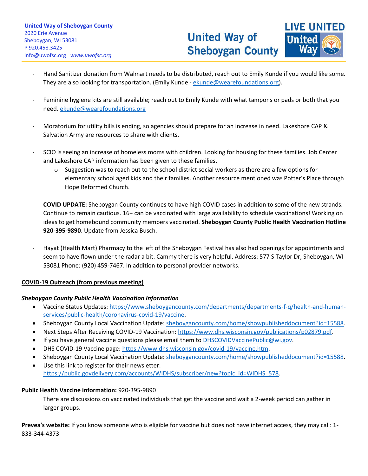

- Hand Sanitizer donation from Walmart needs to be distributed, reach out to Emily Kunde if you would like some. They are also looking for transportation. (Emily Kunde - [ekunde@wearefoundations.org\)](mailto:ekunde@wearefoundations.org).

\_\_\_\_\_\_\_\_\_\_\_\_\_\_\_\_\_\_\_\_\_\_\_\_\_\_\_\_\_\_\_\_\_\_\_\_\_\_\_\_\_\_\_\_\_\_\_\_\_\_\_\_\_\_\_\_\_\_\_\_\_\_\_\_\_\_\_\_\_\_\_\_\_\_\_\_\_\_\_\_\_\_\_\_\_\_\_\_\_\_\_\_\_\_\_\_\_\_\_\_\_\_\_\_\_\_\_\_\_\_\_\_\_\_\_\_\_\_\_\_\_\_\_\_\_\_\_\_\_\_\_\_\_\_\_\_\_\_\_\_\_\_\_\_\_\_\_\_\_\_\_\_\_\_\_\_\_\_\_\_\_\_\_\_\_\_\_\_\_\_\_\_\_\_\_\_\_\_\_\_\_\_\_\_\_\_\_\_\_\_\_\_\_\_\_\_\_\_\_\_\_\_\_\_\_\_\_\_\_\_\_\_\_\_\_\_\_\_\_\_\_\_\_\_\_\_\_\_\_\_\_\_\_\_\_\_\_\_\_\_\_\_\_\_\_\_\_\_\_\_\_\_\_\_\_\_\_\_\_\_\_\_\_\_\_\_\_\_\_\_\_

- Feminine hygiene kits are still available; reach out to Emily Kunde with what tampons or pads or both that you need. [ekunde@wearefoundations.org](mailto:ekunde@wearefoundations.org)
- Moratorium for utility bills is ending, so agencies should prepare for an increase in need. Lakeshore CAP & Salvation Army are resources to share with clients.
- SCIO is seeing an increase of homeless moms with children. Looking for housing for these families. Job Center and Lakeshore CAP information has been given to these families.
	- $\circ$  Suggestion was to reach out to the school district social workers as there are a few options for elementary school aged kids and their families. Another resource mentioned was Potter's Place through Hope Reformed Church.
- **COVID UPDATE:** Sheboygan County continues to have high COVID cases in addition to some of the new strands. Continue to remain cautious. 16+ can be vaccinated with large availability to schedule vaccinations! Working on ideas to get homebound community members vaccinated. **Sheboygan County Public Health Vaccination Hotline 920-395-9890**. Update from Jessica Busch.
- Hayat (Health Mart) Pharmacy to the left of the Sheboygan Festival has also had openings for appointments and seem to have flown under the radar a bit. Cammy there is very helpful. Address: 577 S Taylor Dr, Sheboygan, WI 53081 Phone: (920) 459-7467. In addition to personal provider networks.

#### **COVID-19 Outreach (from previous meeting)**

#### *Sheboygan County Public Health Vaccination Information*

- Vaccine Status Updates: [https://www.sheboygancounty.com/departments/departments-f-q/health-and-human](https://www.sheboygancounty.com/departments/departments-f-q/health-and-human-services/public-health/coronavirus-covid-19/vaccine)[services/public-health/coronavirus-covid-19/vaccine.](https://www.sheboygancounty.com/departments/departments-f-q/health-and-human-services/public-health/coronavirus-covid-19/vaccine)
- Sheboygan County Local Vaccination Update[: sheboygancounty.com/home/showpublisheddocument?id=15588.](https://www.sheboygancounty.com/home/showpublisheddocument?id=15588)
- Next Steps After Receiving COVID-19 Vaccination: [https://www.dhs.wisconsin.gov/publications/p02879.pdf.](https://www.dhs.wisconsin.gov/publications/p02879.pdf)
- If you have general vaccine questions please email them to [DHSCOVIDVaccinePublic@wi.gov.](mailto:DHSCOVIDVaccinePublic@wi.gov)
- DHS COVID-19 Vaccine page: [https://www.dhs.wisconsin.gov/covid-19/vaccine.htm.](https://www.dhs.wisconsin.gov/covid-19/vaccine.htm)
- Sheboygan County Local Vaccination Update[: sheboygancounty.com/home/showpublisheddocument?id=15588.](https://www.sheboygancounty.com/home/showpublisheddocument?id=15588)
- Use this link to register for their newsletter: [https://public.govdelivery.com/accounts/WIDHS/subscriber/new?topic\\_id=WIDHS\\_578.](https://public.govdelivery.com/accounts/WIDHS/subscriber/new?topic_id=WIDHS_578)

#### **Public Health Vaccine information:** 920-395-9890

There are discussions on vaccinated individuals that get the vaccine and wait a 2-week period can gather in larger groups.

**Prevea's website:** If you know someone who is eligible for vaccine but does not have internet access, they may call: 1- 833-344-4373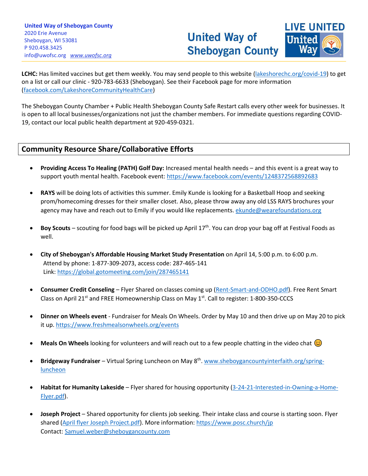

**LCHC:** Has limited vaccines but get them weekly. You may send people to this website [\(lakeshorechc.org/covid-19\)](https://www.lakeshorechc.org/covid-19) to get on a list or call our clinic - 920-783-6633 (Sheboygan). See their Facebook page for more information [\(facebook.com/LakeshoreCommunityHealthCare\)](https://www.facebook.com/LakeshoreCommunityHealthCare)

\_\_\_\_\_\_\_\_\_\_\_\_\_\_\_\_\_\_\_\_\_\_\_\_\_\_\_\_\_\_\_\_\_\_\_\_\_\_\_\_\_\_\_\_\_\_\_\_\_\_\_\_\_\_\_\_\_\_\_\_\_\_\_\_\_\_\_\_\_\_\_\_\_\_\_\_\_\_\_\_\_\_\_\_\_\_\_\_\_\_\_\_\_\_\_\_\_\_\_\_\_\_\_\_\_\_\_\_\_\_\_\_\_\_\_\_\_\_\_\_\_\_\_\_\_\_\_\_\_\_\_\_\_\_\_\_\_\_\_\_\_\_\_\_\_\_\_\_\_\_\_\_\_\_\_\_\_\_\_\_\_\_\_\_\_\_\_\_\_\_\_\_\_\_\_\_\_\_\_\_\_\_\_\_\_\_\_\_\_\_\_\_\_\_\_\_\_\_\_\_\_\_\_\_\_\_\_\_\_\_\_\_\_\_\_\_\_\_\_\_\_\_\_\_\_\_\_\_\_\_\_\_\_\_\_\_\_\_\_\_\_\_\_\_\_\_\_\_\_\_\_\_\_\_\_\_\_\_\_\_\_\_\_\_\_\_\_\_\_\_\_

The Sheboygan County Chamber + Public Health Sheboygan County Safe Restart calls every other week for businesses. It is open to all local businesses/organizations not just the chamber members. For immediate questions regarding COVID-19, contact our local public health department at 920-459-0321.

### **Community Resource Share/Collaborative Efforts**

- **Providing Access To Healing (PATH) Golf Day:** Increased mental health needs and this event is a great way to support youth mental health. Facebook event[: https://www.facebook.com/events/1248372568892683](https://www.facebook.com/events/1248372568892683)
- **RAYS** will be doing lots of activities this summer. Emily Kunde is looking for a Basketball Hoop and seeking prom/homecoming dresses for their smaller closet. Also, please throw away any old LSS RAYS brochures your agency may have and reach out to Emily if you would like replacements. *ekunde@wearefoundations.org*
- Boy Scouts scouting for food bags will be picked up April 17<sup>th</sup>. You can drop your bag off at Festival Foods as well.
- **City of Sheboygan's Affordable Housing Market Study Presentation** on April 14, 5:00 p.m. to 6:00 p.m. Attend by phone: 1-877-309-2073, access code: 287-465-141 Link:<https://global.gotomeeting.com/join/287465141>
- **Consumer Credit Conseling** Flyer Shared on classes coming up [\(Rent-Smart-and-ODHO.pdf\)](https://uwofsc.org/assets/Uploads/Rent-Smart-and-ODHO.pdf). Free Rent Smart Class on April 21<sup>st</sup> and FREE Homeownership Class on May 1<sup>st</sup>. Call to register: 1-800-350-CCCS
- **Dinner on Wheels event** Fundraiser for Meals On Wheels. Order by May 10 and then drive up on May 20 to pick it up.<https://www.freshmealsonwheels.org/events>
- **Meals On Wheels** looking for volunteers and will reach out to a few people chatting in the video chat  $\circled{c}$
- **Bridgeway Fundraiser** Virtual Spring Luncheon on May 8<sup>th</sup>[. www.sheboygancountyinterfaith.org/spring](http://www.sheboygancountyinterfaith.org/spring-luncheon)[luncheon](http://www.sheboygancountyinterfaith.org/spring-luncheon)
- **Habitat for Humanity Lakeside** Flyer shared for housing opportunity [\(3-24-21-Interested-in-Owning-a-Home-](https://uwofsc.org/assets/Uploads/Updated-3-24-21-Interested-in-Owning-a-Home-Flyer.pdf)[Flyer.pdf\)](https://uwofsc.org/assets/Uploads/Updated-3-24-21-Interested-in-Owning-a-Home-Flyer.pdf).
- **Joseph Project** Shared opportunity for clients job seeking. Their intake class and course is starting soon. Flyer shared [\(April flyer Joseph Project.pdf\)](April%20flyer%20Joseph%20Project.pdf). More information[: https://www.posc.church/jp](https://www.posc.church/jp) Contact[: Samuel.weber@sheboygancounty.com](mailto:Samuel.weber@sheboygancounty.com)